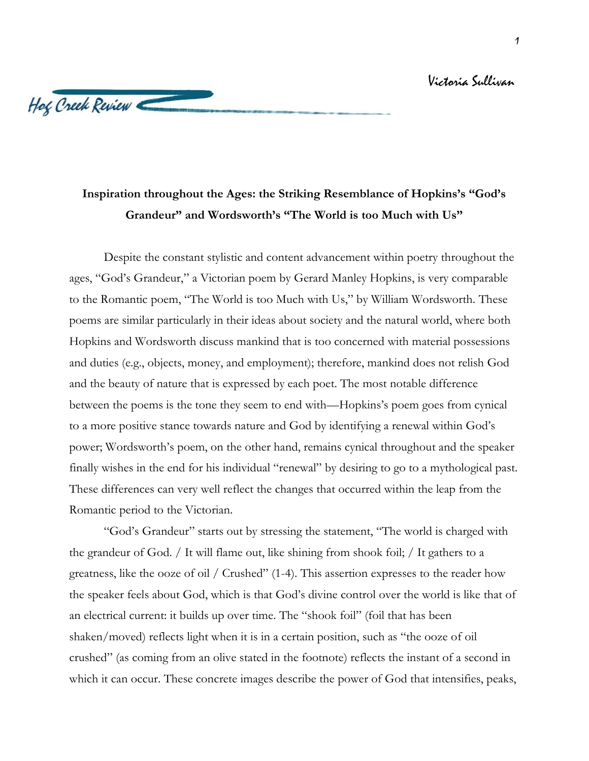## Victoria Sullivan

## Hog Creek Review

## **Inspiration throughout the Ages: the Striking Resemblance of Hopkins's "God's Grandeur" and Wordsworth's "The World is too Much with Us"**

Despite the constant stylistic and content advancement within poetry throughout the ages, "God's Grandeur," a Victorian poem by Gerard Manley Hopkins, is very comparable to the Romantic poem, "The World is too Much with Us," by William Wordsworth. These poems are similar particularly in their ideas about society and the natural world, where both Hopkins and Wordsworth discuss mankind that is too concerned with material possessions and duties (e.g., objects, money, and employment); therefore, mankind does not relish God and the beauty of nature that is expressed by each poet. The most notable difference between the poems is the tone they seem to end with—Hopkins's poem goes from cynical to a more positive stance towards nature and God by identifying a renewal within God's power; Wordsworth's poem, on the other hand, remains cynical throughout and the speaker finally wishes in the end for his individual "renewal" by desiring to go to a mythological past. These differences can very well reflect the changes that occurred within the leap from the Romantic period to the Victorian.

"God's Grandeur" starts out by stressing the statement, "The world is charged with the grandeur of God. / It will flame out, like shining from shook foil; / It gathers to a greatness, like the ooze of oil / Crushed" (1-4). This assertion expresses to the reader how the speaker feels about God, which is that God's divine control over the world is like that of an electrical current: it builds up over time. The "shook foil" (foil that has been shaken/moved) reflects light when it is in a certain position, such as "the ooze of oil crushed" (as coming from an olive stated in the footnote) reflects the instant of a second in which it can occur. These concrete images describe the power of God that intensifies, peaks,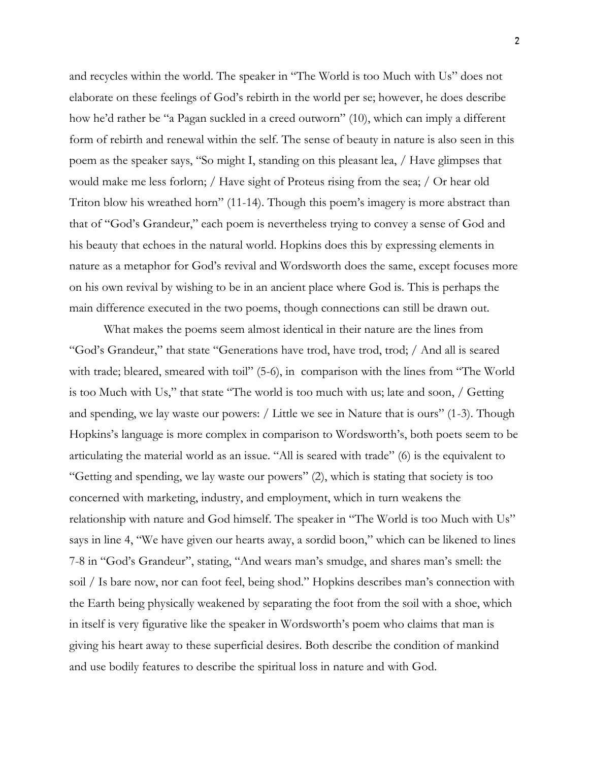and recycles within the world. The speaker in "The World is too Much with Us" does not elaborate on these feelings of God's rebirth in the world per se; however, he does describe how he'd rather be "a Pagan suckled in a creed outworn" (10), which can imply a different form of rebirth and renewal within the self. The sense of beauty in nature is also seen in this poem as the speaker says, "So might I, standing on this pleasant lea, / Have glimpses that would make me less forlorn; / Have sight of Proteus rising from the sea; / Or hear old Triton blow his wreathed horn" (11-14). Though this poem's imagery is more abstract than that of "God's Grandeur," each poem is nevertheless trying to convey a sense of God and his beauty that echoes in the natural world. Hopkins does this by expressing elements in nature as a metaphor for God's revival and Wordsworth does the same, except focuses more on his own revival by wishing to be in an ancient place where God is. This is perhaps the main difference executed in the two poems, though connections can still be drawn out.

What makes the poems seem almost identical in their nature are the lines from "God's Grandeur," that state "Generations have trod, have trod, trod; / And all is seared with trade; bleared, smeared with toil" (5-6), in comparison with the lines from "The World is too Much with Us," that state "The world is too much with us; late and soon, / Getting and spending, we lay waste our powers: / Little we see in Nature that is ours" (1-3). Though Hopkins's language is more complex in comparison to Wordsworth's, both poets seem to be articulating the material world as an issue. "All is seared with trade" (6) is the equivalent to "Getting and spending, we lay waste our powers" (2), which is stating that society is too concerned with marketing, industry, and employment, which in turn weakens the relationship with nature and God himself. The speaker in "The World is too Much with Us" says in line 4, "We have given our hearts away, a sordid boon," which can be likened to lines 7-8 in "God's Grandeur", stating, "And wears man's smudge, and shares man's smell: the soil / Is bare now, nor can foot feel, being shod." Hopkins describes man's connection with the Earth being physically weakened by separating the foot from the soil with a shoe, which in itself is very figurative like the speaker in Wordsworth's poem who claims that man is giving his heart away to these superficial desires. Both describe the condition of mankind and use bodily features to describe the spiritual loss in nature and with God.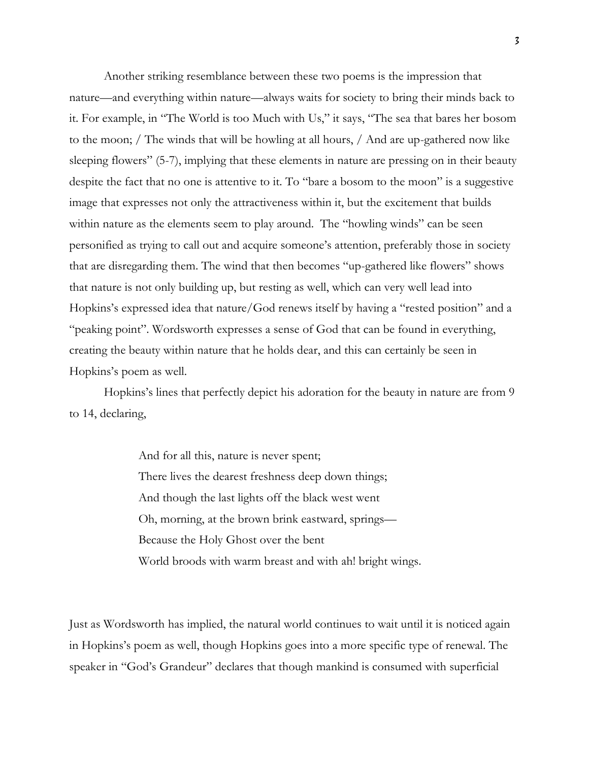Another striking resemblance between these two poems is the impression that nature—and everything within nature—always waits for society to bring their minds back to it. For example, in "The World is too Much with Us," it says, "The sea that bares her bosom to the moon; / The winds that will be howling at all hours, / And are up-gathered now like sleeping flowers" (5-7), implying that these elements in nature are pressing on in their beauty despite the fact that no one is attentive to it. To "bare a bosom to the moon" is a suggestive image that expresses not only the attractiveness within it, but the excitement that builds within nature as the elements seem to play around. The "howling winds" can be seen personified as trying to call out and acquire someone's attention, preferably those in society that are disregarding them. The wind that then becomes "up-gathered like flowers" shows that nature is not only building up, but resting as well, which can very well lead into Hopkins's expressed idea that nature/God renews itself by having a "rested position" and a "peaking point". Wordsworth expresses a sense of God that can be found in everything, creating the beauty within nature that he holds dear, and this can certainly be seen in Hopkins's poem as well.

Hopkins's lines that perfectly depict his adoration for the beauty in nature are from 9 to 14, declaring,

> And for all this, nature is never spent; There lives the dearest freshness deep down things; And though the last lights off the black west went Oh, morning, at the brown brink eastward, springs— Because the Holy Ghost over the bent World broods with warm breast and with ah! bright wings.

Just as Wordsworth has implied, the natural world continues to wait until it is noticed again in Hopkins's poem as well, though Hopkins goes into a more specific type of renewal. The speaker in "God's Grandeur" declares that though mankind is consumed with superficial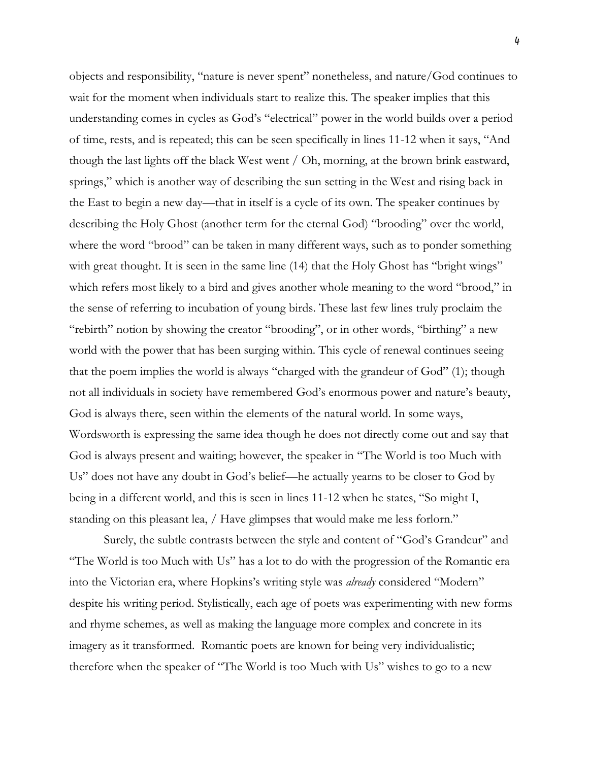objects and responsibility, "nature is never spent" nonetheless, and nature/God continues to wait for the moment when individuals start to realize this. The speaker implies that this understanding comes in cycles as God's "electrical" power in the world builds over a period of time, rests, and is repeated; this can be seen specifically in lines 11-12 when it says, "And though the last lights off the black West went / Oh, morning, at the brown brink eastward, springs," which is another way of describing the sun setting in the West and rising back in the East to begin a new day—that in itself is a cycle of its own. The speaker continues by describing the Holy Ghost (another term for the eternal God) "brooding" over the world, where the word "brood" can be taken in many different ways, such as to ponder something with great thought. It is seen in the same line (14) that the Holy Ghost has "bright wings" which refers most likely to a bird and gives another whole meaning to the word "brood," in the sense of referring to incubation of young birds. These last few lines truly proclaim the "rebirth" notion by showing the creator "brooding", or in other words, "birthing" a new world with the power that has been surging within. This cycle of renewal continues seeing that the poem implies the world is always "charged with the grandeur of God" (1); though not all individuals in society have remembered God's enormous power and nature's beauty, God is always there, seen within the elements of the natural world. In some ways, Wordsworth is expressing the same idea though he does not directly come out and say that God is always present and waiting; however, the speaker in "The World is too Much with Us" does not have any doubt in God's belief—he actually yearns to be closer to God by being in a different world, and this is seen in lines 11-12 when he states, "So might I, standing on this pleasant lea, / Have glimpses that would make me less forlorn."

Surely, the subtle contrasts between the style and content of "God's Grandeur" and "The World is too Much with Us" has a lot to do with the progression of the Romantic era into the Victorian era, where Hopkins's writing style was *already* considered "Modern" despite his writing period. Stylistically, each age of poets was experimenting with new forms and rhyme schemes, as well as making the language more complex and concrete in its imagery as it transformed. Romantic poets are known for being very individualistic; therefore when the speaker of "The World is too Much with Us" wishes to go to a new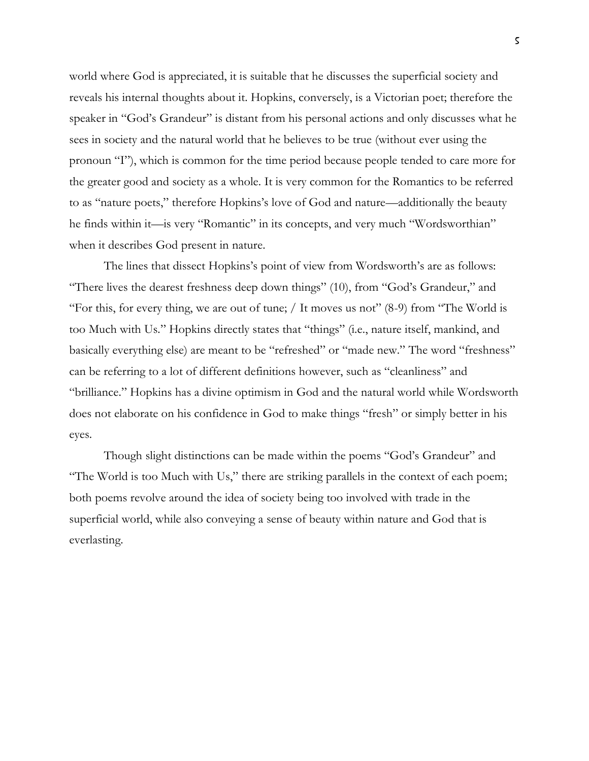world where God is appreciated, it is suitable that he discusses the superficial society and reveals his internal thoughts about it. Hopkins, conversely, is a Victorian poet; therefore the speaker in "God's Grandeur" is distant from his personal actions and only discusses what he sees in society and the natural world that he believes to be true (without ever using the pronoun "I"), which is common for the time period because people tended to care more for the greater good and society as a whole. It is very common for the Romantics to be referred to as "nature poets," therefore Hopkins's love of God and nature—additionally the beauty he finds within it—is very "Romantic" in its concepts, and very much "Wordsworthian" when it describes God present in nature.

The lines that dissect Hopkins's point of view from Wordsworth's are as follows: "There lives the dearest freshness deep down things" (10), from "God's Grandeur," and "For this, for every thing, we are out of tune; / It moves us not" (8-9) from "The World is too Much with Us." Hopkins directly states that "things" (i.e., nature itself, mankind, and basically everything else) are meant to be "refreshed" or "made new." The word "freshness" can be referring to a lot of different definitions however, such as "cleanliness" and "brilliance." Hopkins has a divine optimism in God and the natural world while Wordsworth does not elaborate on his confidence in God to make things "fresh" or simply better in his eyes.

Though slight distinctions can be made within the poems "God's Grandeur" and "The World is too Much with Us," there are striking parallels in the context of each poem; both poems revolve around the idea of society being too involved with trade in the superficial world, while also conveying a sense of beauty within nature and God that is everlasting.